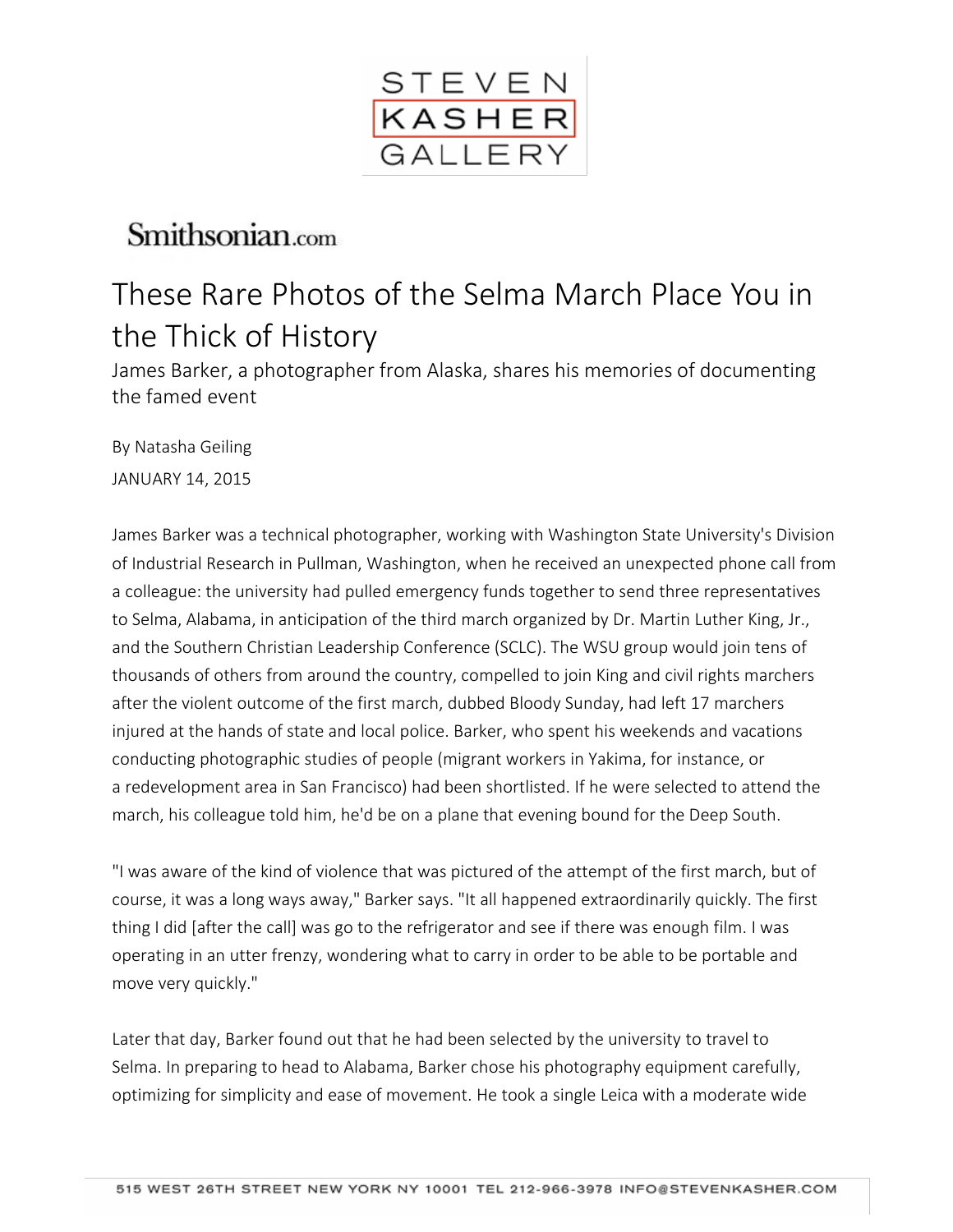

# Smithsonian.com

# These Rare Photos of the Selma March Place You in the Thick of History

James Barker, a photographer from Alaska, shares his memories of documenting the famed event

By Natasha Geiling JANUARY 14, 2015

James Barker was a technical photographer, working with Washington State University's Division of Industrial Research in Pullman, Washington, when he received an unexpected phone call from a colleague: the university had pulled emergency funds together to send three representatives to Selma, Alabama, in anticipation of the third march organized by Dr. Martin Luther King, Jr., and the Southern Christian Leadership Conference (SCLC). The WSU group would join tens of thousands of others from around the country, compelled to join King and civil rights marchers after the violent outcome of the first march, dubbed Bloody Sunday, had left 17 marchers injured at the hands of state and local police. Barker, who spent his weekends and vacations conducting photographic studies of people (migrant workers in Yakima, for instance, or a redevelopment area in San Francisco) had been shortlisted. If he were selected to attend the march, his colleague told him, he'd be on a plane that evening bound for the Deep South.

"I was aware of the kind of violence that was pictured of the attempt of the first march, but of course, it was a long ways away," Barker says. "It all happened extraordinarily quickly. The first thing I did [after the call] was go to the refrigerator and see if there was enough film. I was operating in an utter frenzy, wondering what to carry in order to be able to be portable and move very quickly."

Later that day, Barker found out that he had been selected by the university to travel to Selma. In preparing to head to Alabama, Barker chose his photography equipment carefully, optimizing for simplicity and ease of movement. He took a single Leica with a moderate wide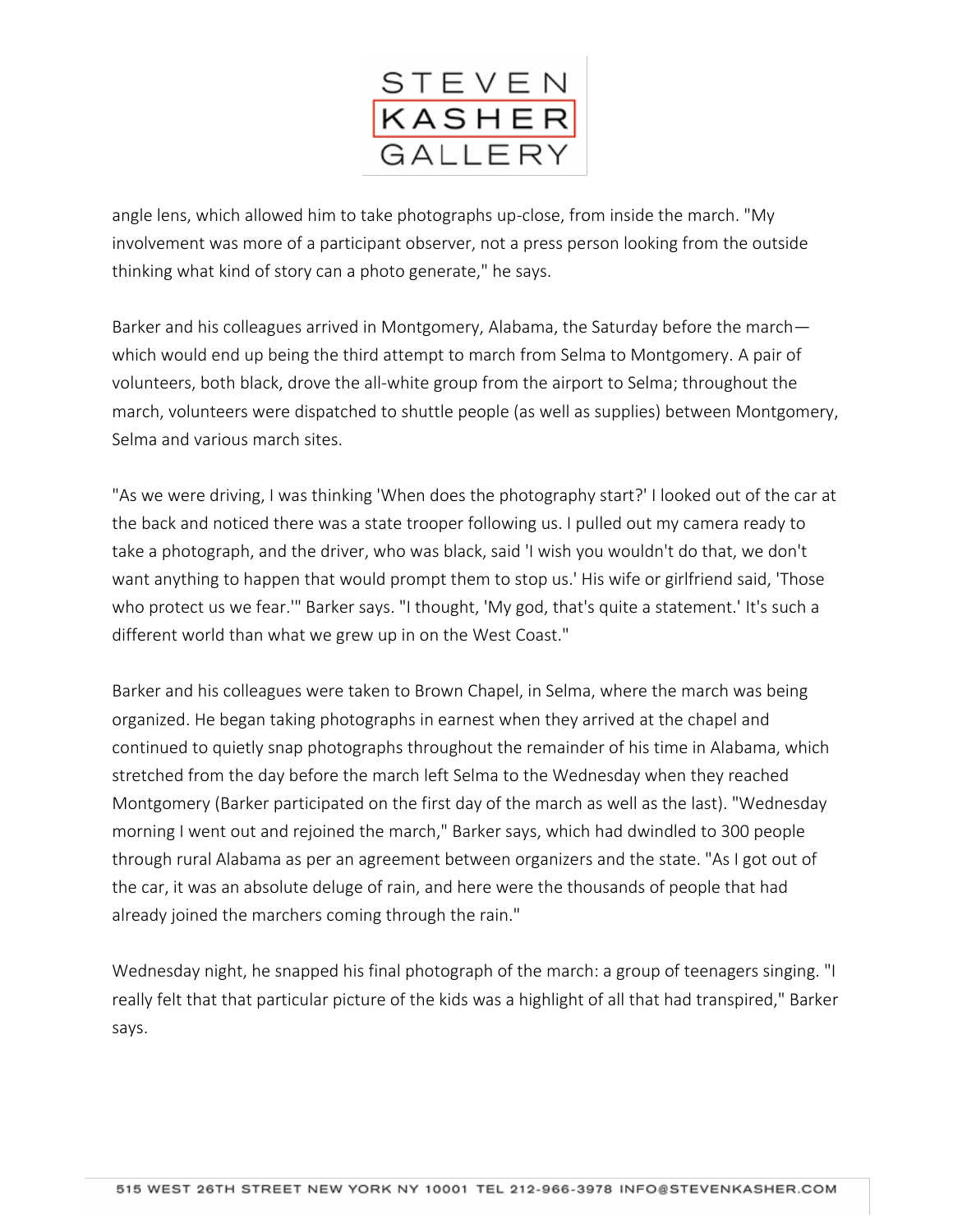

angle lens, which allowed him to take photographs up-close, from inside the march. "My involvement was more of a participant observer, not a press person looking from the outside thinking what kind of story can a photo generate," he says.

Barker and his colleagues arrived in Montgomery, Alabama, the Saturday before the march which would end up being the third attempt to march from Selma to Montgomery. A pair of volunteers, both black, drove the all-white group from the airport to Selma; throughout the march, volunteers were dispatched to shuttle people (as well as supplies) between Montgomery, Selma and various march sites.

"As we were driving, I was thinking 'When does the photography start?' I looked out of the car at the back and noticed there was a state trooper following us. I pulled out my camera ready to take a photograph, and the driver, who was black, said 'I wish you wouldn't do that, we don't want anything to happen that would prompt them to stop us.' His wife or girlfriend said, 'Those who protect us we fear.'" Barker says. "I thought, 'My god, that's quite a statement.' It's such a different world than what we grew up in on the West Coast."

Barker and his colleagues were taken to Brown Chapel, in Selma, where the march was being organized. He began taking photographs in earnest when they arrived at the chapel and continued to quietly snap photographs throughout the remainder of his time in Alabama, which stretched from the day before the march left Selma to the Wednesday when they reached Montgomery (Barker participated on the first day of the march as well as the last). "Wednesday morning I went out and rejoined the march," Barker says, which had dwindled to 300 people through rural Alabama as per an agreement between organizers and the state. "As I got out of the car, it was an absolute deluge of rain, and here were the thousands of people that had already joined the marchers coming through the rain."

Wednesday night, he snapped his final photograph of the march: a group of teenagers singing. "I really felt that that particular picture of the kids was a highlight of all that had transpired," Barker says.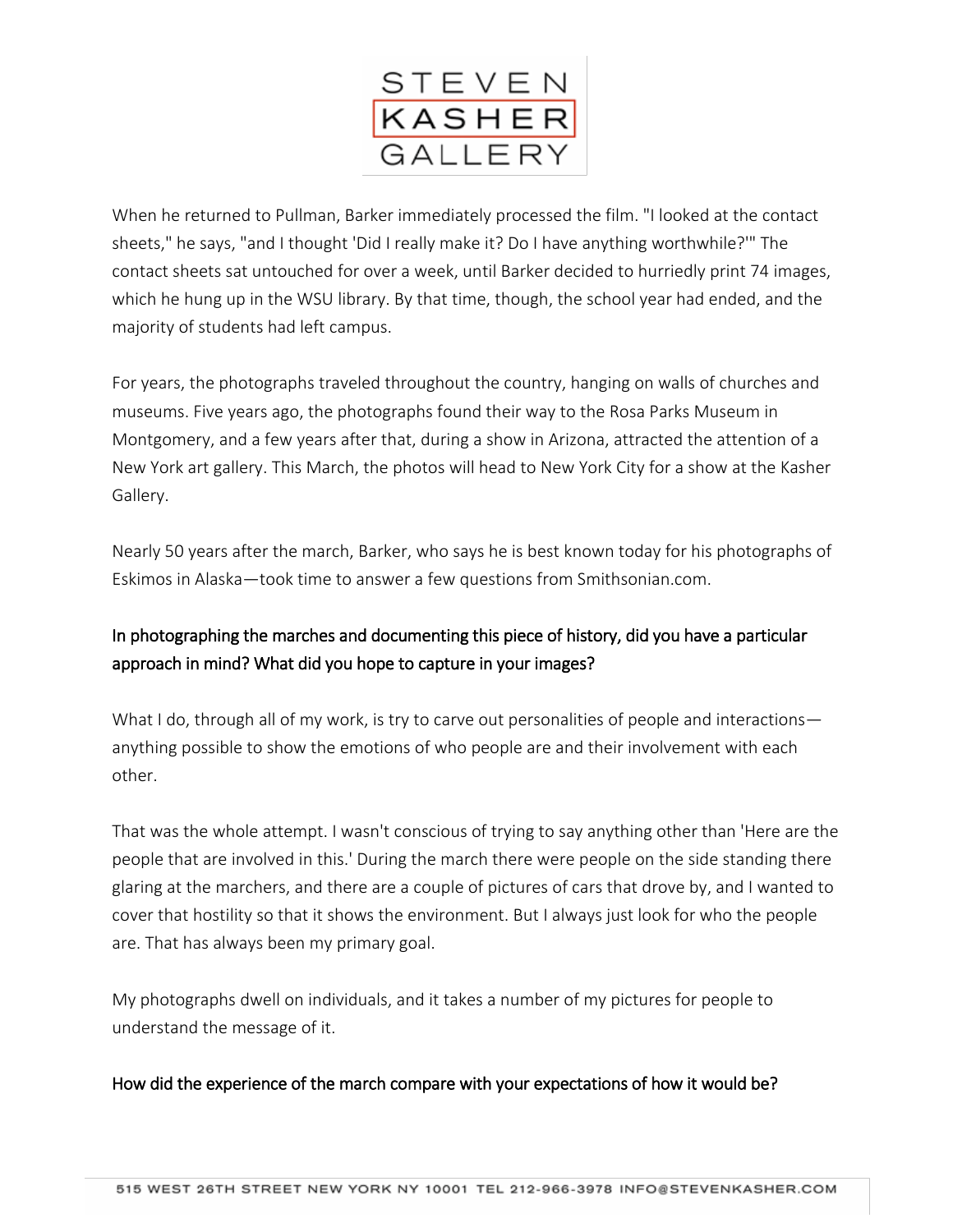

When he returned to Pullman, Barker immediately processed the film. "I looked at the contact sheets," he says, "and I thought 'Did I really make it? Do I have anything worthwhile?'" The contact sheets sat untouched for over a week, until Barker decided to hurriedly print 74 images, which he hung up in the WSU library. By that time, though, the school year had ended, and the majority of students had left campus.

For years, the photographs traveled throughout the country, hanging on walls of churches and museums. Five years ago, the photographs found their way to the Rosa Parks Museum in Montgomery, and a few years after that, during a show in Arizona, attracted the attention of a New York art gallery. This March, the photos will head to New York City for a show at the Kasher Gallery.

Nearly 50 years after the march, Barker, who says he is best known today for his photographs of Eskimos in Alaska—took time to answer a few questions from Smithsonian.com.

## In photographing the marches and documenting this piece of history, did you have a particular approach in mind? What did you hope to capture in your images?

What I do, through all of my work, is try to carve out personalities of people and interactions anything possible to show the emotions of who people are and their involvement with each other.

That was the whole attempt. I wasn't conscious of trying to say anything other than 'Here are the people that are involved in this.' During the march there were people on the side standing there glaring at the marchers, and there are a couple of pictures of cars that drove by, and I wanted to cover that hostility so that it shows the environment. But I always just look for who the people are. That has always been my primary goal.

My photographs dwell on individuals, and it takes a number of my pictures for people to understand the message of it.

### How did the experience of the march compare with your expectations of how it would be?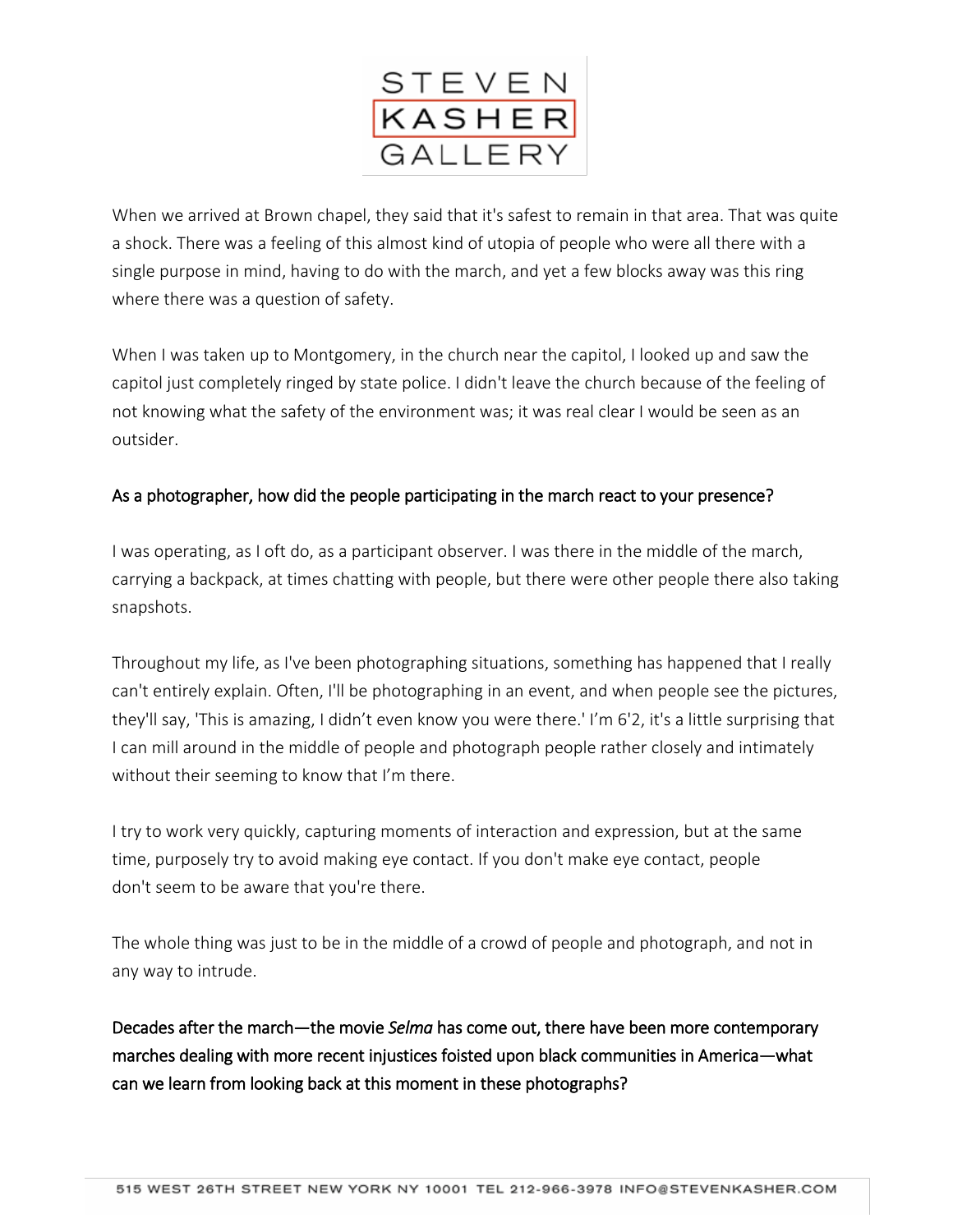

When we arrived at Brown chapel, they said that it's safest to remain in that area. That was quite a shock. There was a feeling of this almost kind of utopia of people who were all there with a single purpose in mind, having to do with the march, and yet a few blocks away was this ring where there was a question of safety.

When I was taken up to Montgomery, in the church near the capitol, I looked up and saw the capitol just completely ringed by state police. I didn't leave the church because of the feeling of not knowing what the safety of the environment was; it was real clear I would be seen as an outsider.

### As a photographer, how did the people participating in the march react to your presence?

I was operating, as I oft do, as a participant observer. I was there in the middle of the march, carrying a backpack, at times chatting with people, but there were other people there also taking snapshots.

Throughout my life, as I've been photographing situations, something has happened that I really can't entirely explain. Often, I'll be photographing in an event, and when people see the pictures, they'll say, 'This is amazing, I didn't even know you were there.' I'm 6'2, it's a little surprising that I can mill around in the middle of people and photograph people rather closely and intimately without their seeming to know that I'm there.

I try to work very quickly, capturing moments of interaction and expression, but at the same time, purposely try to avoid making eye contact. If you don't make eye contact, people don't seem to be aware that you're there.

The whole thing was just to be in the middle of a crowd of people and photograph, and not in any way to intrude.

Decades after the march—the movie *Selma* has come out, there have been more contemporary marches dealing with more recent injustices foisted upon black communities in America—what can we learn from looking back at this moment in these photographs?